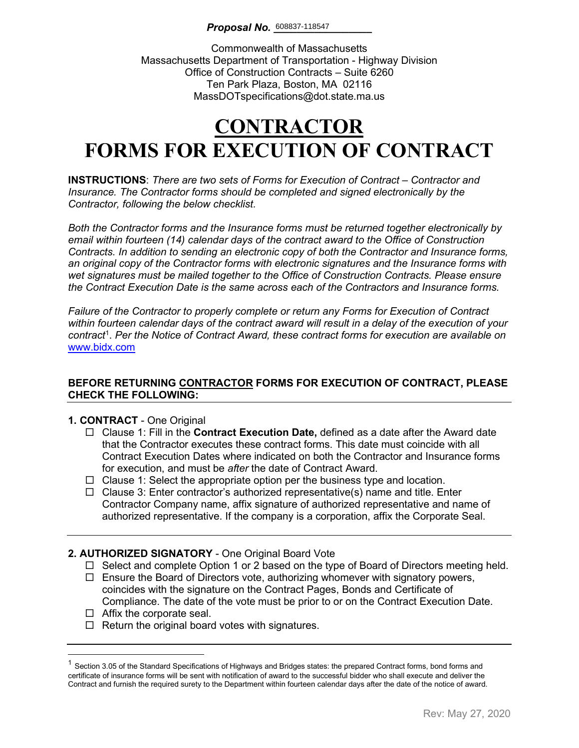Commonwealth of Massachusetts Massachusetts Department of Transportation - Highway Division Office of Construction Contracts – Suite 6260 Ten Park Plaza, Boston, MA 02116 MassDOTspecifications@dot.state.ma.us

# **CONTRACTOR FORMS FOR EXECUTION OF CONTRACT**

**INSTRUCTIONS**: *There are two sets of Forms for Execution of Contract – Contractor and Insurance. The Contractor forms should be completed and signed electronically by the Contractor, following the below checklist.* 

*Both the Contractor forms and the Insurance forms must be returned together electronically by email within fourteen (14) calendar days of the contract award to the Office of Construction Contracts. In addition to sending an electronic copy of both the Contractor and Insurance forms, an original copy of the Contractor forms with electronic signatures and the Insurance forms with wet signatures must be mailed together to the Office of Construction Contracts. Please ensure the Contract Execution Date is the same across each of the Contractors and Insurance forms.*

*Failure of the Contractor to properly complete or return any Forms for Execution of Contract within fourteen calendar days of the contract award will result in a delay of the execution of your contract*[1](#page-0-0) . *Per the Notice of Contract Award, these contract forms for execution are available on*  [www.bidx.com](http://www.bidx.com/)

#### **BEFORE RETURNING CONTRACTOR FORMS FOR EXECUTION OF CONTRACT, PLEASE CHECK THE FOLLOWING:**

#### **1. CONTRACT** - One Original

- Clause 1: Fill in the **Contract Execution Date,** defined as a date after the Award date that the Contractor executes these contract forms. This date must coincide with all Contract Execution Dates where indicated on both the Contractor and Insurance forms for execution, and must be *after* the date of Contract Award.
- $\Box$  Clause 1: Select the appropriate option per the business type and location.
- $\Box$  Clause 3: Enter contractor's authorized representative(s) name and title. Enter Contractor Company name, affix signature of authorized representative and name of authorized representative. If the company is a corporation, affix the Corporate Seal.

### **2. AUTHORIZED SIGNATORY** - One Original Board Vote

- $\Box$  Select and complete Option 1 or 2 based on the type of Board of Directors meeting held.
- $\Box$  Ensure the Board of Directors vote, authorizing whomever with signatory powers, coincides with the signature on the Contract Pages, Bonds and Certificate of Compliance. The date of the vote must be prior to or on the Contract Execution Date.
- $\Box$  Affix the corporate seal.
- $\Box$  Return the original board votes with signatures.

<span id="page-0-0"></span> $1$  Section 3.05 of the Standard Specifications of Highways and Bridges states: the prepared Contract forms, bond forms and certificate of insurance forms will be sent with notification of award to the successful bidder who shall execute and deliver the Contract and furnish the required surety to the Department within fourteen calendar days after the date of the notice of award.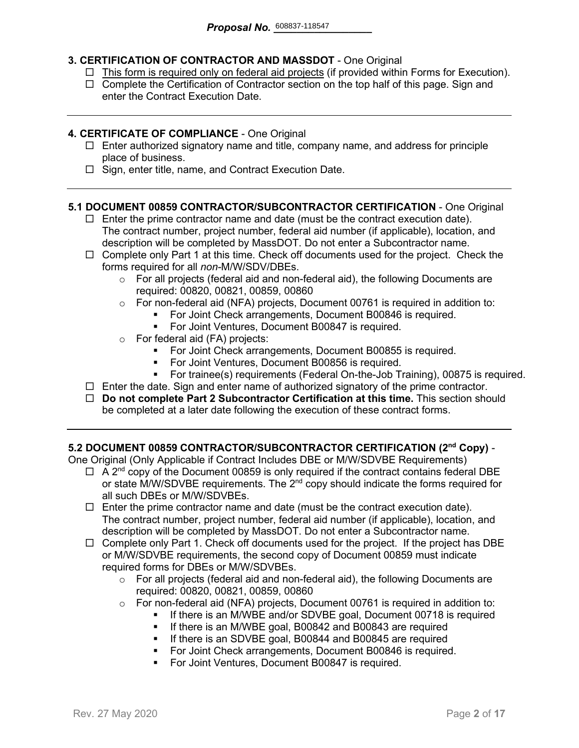### **3. CERTIFICATION OF CONTRACTOR AND MASSDOT** - One Original

- $\Box$  This form is required only on federal aid projects (if provided within Forms for Execution).
- $\Box$  Complete the Certification of Contractor section on the top half of this page. Sign and enter the Contract Execution Date.

#### **4. CERTIFICATE OF COMPLIANCE** - One Original

- $\Box$  Enter authorized signatory name and title, company name, and address for principle place of business.
- $\Box$  Sign, enter title, name, and Contract Execution Date.

#### **5.1 DOCUMENT 00859 CONTRACTOR/SUBCONTRACTOR CERTIFICATION** - One Original

- $\Box$  Enter the prime contractor name and date (must be the contract execution date). The contract number, project number, federal aid number (if applicable), location, and description will be completed by MassDOT. Do not enter a Subcontractor name.
- $\Box$  Complete only Part 1 at this time. Check off documents used for the project. Check the forms required for all *non-*M/W/SDV/DBEs.
	- $\circ$  For all projects (federal aid and non-federal aid), the following Documents are required: 00820, 00821, 00859, 00860
	- o For non-federal aid (NFA) projects, Document 00761 is required in addition to:
		- For Joint Check arrangements, Document B00846 is required.
		- **For Joint Ventures, Document B00847 is required.**
	- o For federal aid (FA) projects:
		- **For Joint Check arrangements, Document B00855 is required.**
		- For Joint Ventures, Document B00856 is required.
		- For trainee(s) requirements (Federal On-the-Job Training), 00875 is required.
- $\Box$  Enter the date. Sign and enter name of authorized signatory of the prime contractor.
- **Do not complete Part 2 Subcontractor Certification at this time.** This section should be completed at a later date following the execution of these contract forms.

#### **5.2 DOCUMENT 00859 CONTRACTOR/SUBCONTRACTOR CERTIFICATION (2nd Copy)** -

One Original (Only Applicable if Contract Includes DBE or M/W/SDVBE Requirements)

- $\Box$  A 2<sup>nd</sup> copy of the Document 00859 is only required if the contract contains federal DBE or state M/W/SDVBE requirements. The  $2^{nd}$  copy should indicate the forms required for all such DBEs or M/W/SDVBEs.
- $\Box$  Enter the prime contractor name and date (must be the contract execution date). The contract number, project number, federal aid number (if applicable), location, and description will be completed by MassDOT. Do not enter a Subcontractor name.
- $\Box$  Complete only Part 1. Check off documents used for the project. If the project has DBE or M/W/SDVBE requirements, the second copy of Document 00859 must indicate required forms for DBEs or M/W/SDVBEs.
	- $\circ$  For all projects (federal aid and non-federal aid), the following Documents are required: 00820, 00821, 00859, 00860
	- o For non-federal aid (NFA) projects, Document 00761 is required in addition to:
		- If there is an M/WBE and/or SDVBE goal, Document 00718 is required
			- **If there is an M/WBE goal, B00842 and B00843 are required**
		- **If there is an SDVBE goal, B00844 and B00845 are required**
		- **For Joint Check arrangements, Document B00846 is required.**
		- **For Joint Ventures, Document B00847 is required.**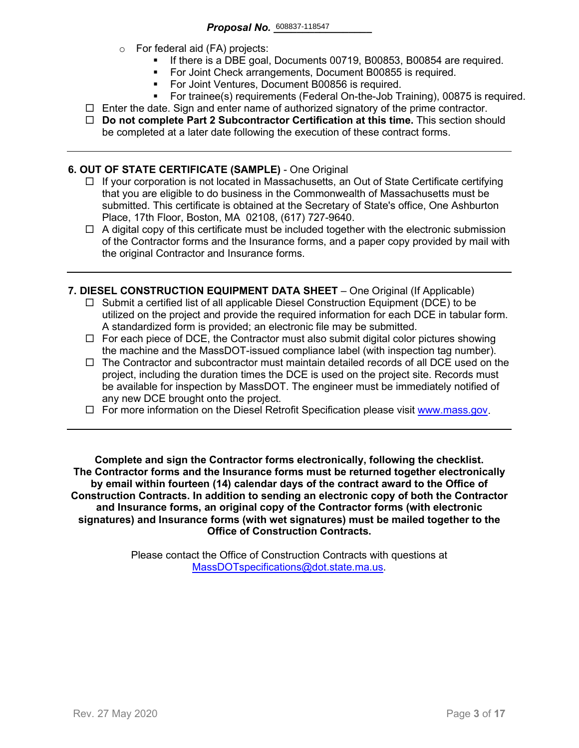- o For federal aid (FA) projects:
	- If there is a DBE goal, Documents 00719, B00853, B00854 are required.
	- For Joint Check arrangements, Document B00855 is required.
	- **For Joint Ventures, Document B00856 is required.**
	- For trainee(s) requirements (Federal On-the-Job Training), 00875 is required.
- $\Box$  Enter the date. Sign and enter name of authorized signatory of the prime contractor.
- **Do not complete Part 2 Subcontractor Certification at this time.** This section should be completed at a later date following the execution of these contract forms.

#### **6. OUT OF STATE CERTIFICATE (SAMPLE)** - One Original

- $\Box$  If your corporation is not located in Massachusetts, an Out of State Certificate certifying that you are eligible to do business in the Commonwealth of Massachusetts must be submitted. This certificate is obtained at the Secretary of State's office, One Ashburton Place, 17th Floor, Boston, MA 02108, (617) 727-9640.
- $\Box$  A digital copy of this certificate must be included together with the electronic submission of the Contractor forms and the Insurance forms, and a paper copy provided by mail with the original Contractor and Insurance forms.
- **7. DIESEL CONSTRUCTION EQUIPMENT DATA SHEET** One Original (If Applicable)
	- $\Box$  Submit a certified list of all applicable Diesel Construction Equipment (DCE) to be utilized on the project and provide the required information for each DCE in tabular form. A standardized form is provided; an electronic file may be submitted.
	- $\Box$  For each piece of DCE, the Contractor must also submit digital color pictures showing the machine and the MassDOT-issued compliance label (with inspection tag number).
	- $\Box$  The Contractor and subcontractor must maintain detailed records of all DCE used on the project, including the duration times the DCE is used on the project site. Records must be available for inspection by MassDOT. The engineer must be immediately notified of any new DCE brought onto the project.
	- $\Box$  For more information on the Diesel Retrofit Specification please visit [www.mass.gov.](https://www.mass.gov/service-details/massdot-diesel-retrofit-specification)

**Complete and sign the Contractor forms electronically, following the checklist. The Contractor forms and the Insurance forms must be returned together electronically by email within fourteen (14) calendar days of the contract award to the Office of Construction Contracts. In addition to sending an electronic copy of both the Contractor and Insurance forms, an original copy of the Contractor forms (with electronic signatures) and Insurance forms (with wet signatures) must be mailed together to the Office of Construction Contracts.**

> Please contact the Office of Construction Contracts with questions at [MassDOTspecifications@dot.state.ma.us.](mailto:MassDOTspecifications@dot.state.ma.us)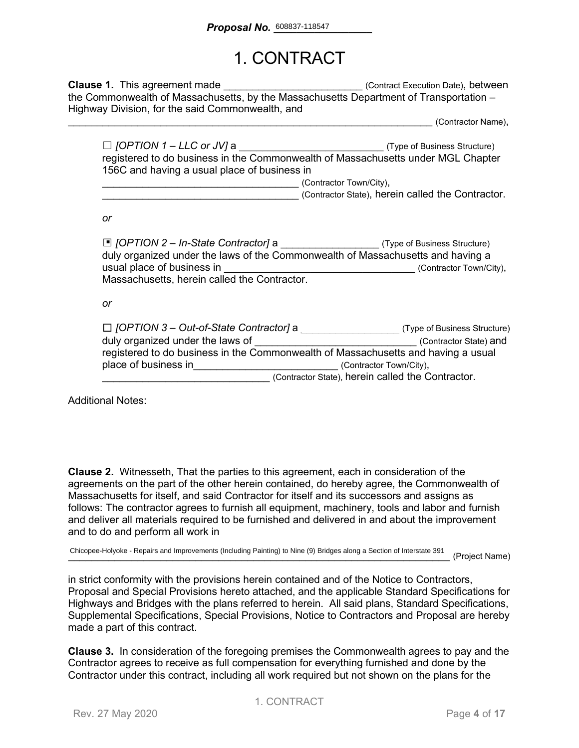### 1. CONTRACT

**Clause 1.** This agreement made **Clause 1.** This agreement made the Commonwealth of Massachusetts, by the Massachusetts Department of Transportation – Highway Division, for the said Commonwealth, and

\_\_\_\_\_\_\_\_\_\_\_\_\_\_\_\_\_\_\_\_\_\_\_\_\_\_\_\_\_\_\_\_\_\_\_\_\_\_\_\_\_\_\_\_\_\_\_\_\_\_\_\_\_\_\_\_\_\_\_\_\_\_\_ (Contractor Name),

| $\Box$ [OPTION 1 – LLC or JV] a                                                  | (Type of Business Structure) |  |
|----------------------------------------------------------------------------------|------------------------------|--|
| registered to do business in the Commonwealth of Massachusetts under MGL Chapter |                              |  |
| 156C and having a usual place of business in                                     |                              |  |
|                                                                                  | (Contractor Town/City),      |  |

\_\_\_\_\_\_\_\_\_\_\_\_\_\_\_\_\_\_\_\_\_\_\_\_\_\_\_\_\_\_\_\_\_\_ (Contractor State), herein called the Contractor.

*or*

| □ [OPTION 2 – In-State Contractor] a ______________________(Type of Business Structure)<br>duly organized under the laws of the Commonwealth of Massachusetts and having a |                                                   |                              |
|----------------------------------------------------------------------------------------------------------------------------------------------------------------------------|---------------------------------------------------|------------------------------|
| usual place of business in                                                                                                                                                 |                                                   | (Contractor Town/City),      |
| Massachusetts, herein called the Contractor.                                                                                                                               |                                                   |                              |
|                                                                                                                                                                            |                                                   |                              |
| or                                                                                                                                                                         |                                                   |                              |
|                                                                                                                                                                            |                                                   |                              |
| $\Box$ [OPTION 3 – Out-of-State Contractor] a                                                                                                                              |                                                   | (Type of Business Structure) |
| duly organized under the laws of                                                                                                                                           |                                                   | (Contractor State) and       |
| registered to do business in the Commonwealth of Massachusetts and having a usual                                                                                          |                                                   |                              |
| place of business in                                                                                                                                                       |                                                   | (Contractor Town/City),      |
|                                                                                                                                                                            | (Contractor State), herein called the Contractor. |                              |

Additional Notes:

**Clause 2.** Witnesseth, That the parties to this agreement, each in consideration of the agreements on the part of the other herein contained, do hereby agree, the Commonwealth of Massachusetts for itself, and said Contractor for itself and its successors and assigns as follows: The contractor agrees to furnish all equipment, machinery, tools and labor and furnish and deliver all materials required to be furnished and delivered in and about the improvement and to do and perform all work in

Chicopee-Holyoke - Repairs and Improvements (Including Painting) to Nine (9) Bridges along a Section of Interstate 391 (Project Name)

in strict conformity with the provisions herein contained and of the Notice to Contractors, Proposal and Special Provisions hereto attached, and the applicable Standard Specifications for Highways and Bridges with the plans referred to herein. All said plans, Standard Specifications, Supplemental Specifications, Special Provisions, Notice to Contractors and Proposal are hereby made a part of this contract.

**Clause 3.** In consideration of the foregoing premises the Commonwealth agrees to pay and the Contractor agrees to receive as full compensation for everything furnished and done by the Contractor under this contract, including all work required but not shown on the plans for the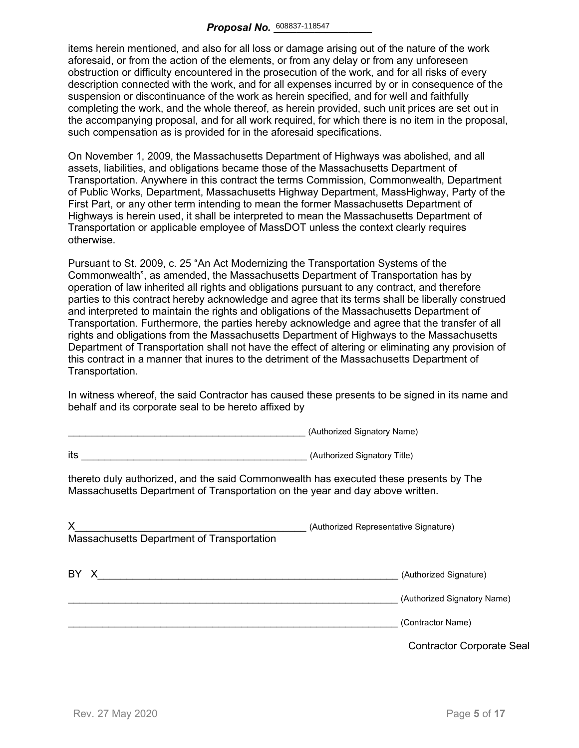items herein mentioned, and also for all loss or damage arising out of the nature of the work aforesaid, or from the action of the elements, or from any delay or from any unforeseen obstruction or difficulty encountered in the prosecution of the work, and for all risks of every description connected with the work, and for all expenses incurred by or in consequence of the suspension or discontinuance of the work as herein specified, and for well and faithfully completing the work, and the whole thereof, as herein provided, such unit prices are set out in the accompanying proposal, and for all work required, for which there is no item in the proposal, such compensation as is provided for in the aforesaid specifications.

On November 1, 2009, the Massachusetts Department of Highways was abolished, and all assets, liabilities, and obligations became those of the Massachusetts Department of Transportation. Anywhere in this contract the terms Commission, Commonwealth, Department of Public Works, Department, Massachusetts Highway Department, MassHighway, Party of the First Part, or any other term intending to mean the former Massachusetts Department of Highways is herein used, it shall be interpreted to mean the Massachusetts Department of Transportation or applicable employee of MassDOT unless the context clearly requires otherwise.

Pursuant to St. 2009, c. 25 "An Act Modernizing the Transportation Systems of the Commonwealth", as amended, the Massachusetts Department of Transportation has by operation of law inherited all rights and obligations pursuant to any contract, and therefore parties to this contract hereby acknowledge and agree that its terms shall be liberally construed and interpreted to maintain the rights and obligations of the Massachusetts Department of Transportation. Furthermore, the parties hereby acknowledge and agree that the transfer of all rights and obligations from the Massachusetts Department of Highways to the Massachusetts Department of Transportation shall not have the effect of altering or eliminating any provision of this contract in a manner that inures to the detriment of the Massachusetts Department of Transportation.

In witness whereof, the said Contractor has caused these presents to be signed in its name and behalf and its corporate seal to be hereto affixed by

\_\_\_\_\_\_\_\_\_\_\_\_\_\_\_\_\_\_\_\_\_\_\_\_\_\_\_\_\_\_\_\_\_\_\_\_\_\_\_\_\_ (Authorized Signatory Name)

| thereto duly authorized, and the said Commonwealth has executed these presents by The<br>Massachusetts Department of Transportation on the year and day above written. |
|------------------------------------------------------------------------------------------------------------------------------------------------------------------------|
| (Authorized Representative Signature)                                                                                                                                  |
| (Authorized Signature)<br>(Authorized Signatory Name)                                                                                                                  |
| (Contractor Name)<br><b>Contractor Corporate Seal</b>                                                                                                                  |
|                                                                                                                                                                        |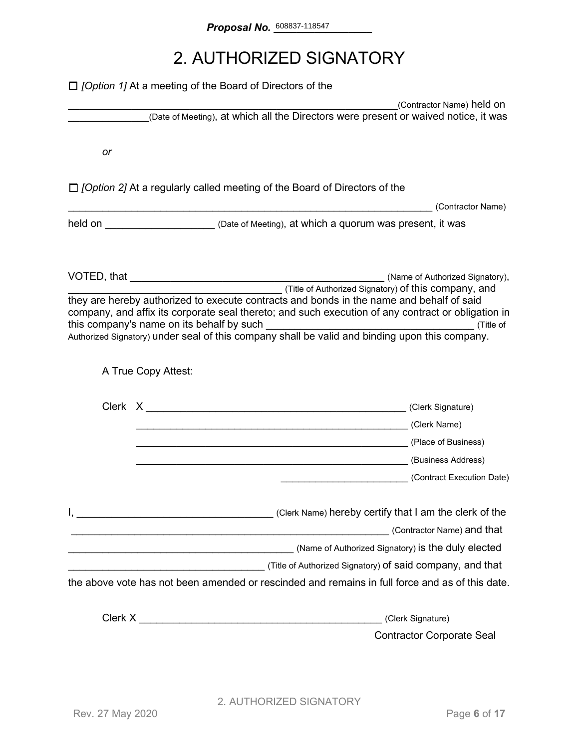## 2. AUTHORIZED SIGNATORY

|    | $\Box$ <i>[Option 1]</i> At a meeting of the Board of Directors of the                                                                                                                                                                                                                                                                                   |                                  |
|----|----------------------------------------------------------------------------------------------------------------------------------------------------------------------------------------------------------------------------------------------------------------------------------------------------------------------------------------------------------|----------------------------------|
|    | (Date of Meeting), at which all the Directors were present or waived notice, it was                                                                                                                                                                                                                                                                      | (Contractor Name) held on        |
|    |                                                                                                                                                                                                                                                                                                                                                          |                                  |
| or |                                                                                                                                                                                                                                                                                                                                                          |                                  |
|    | $\Box$ /Option 2] At a regularly called meeting of the Board of Directors of the                                                                                                                                                                                                                                                                         |                                  |
|    |                                                                                                                                                                                                                                                                                                                                                          | (Contractor Name)                |
|    | held on <u>New Your Chate of Meeting</u> ), at which a quorum was present, it was                                                                                                                                                                                                                                                                        |                                  |
|    |                                                                                                                                                                                                                                                                                                                                                          |                                  |
|    | (Title of Authorized Signatory) of this company, and<br>they are hereby authorized to execute contracts and bonds in the name and behalf of said<br>company, and affix its corporate seal thereto; and such execution of any contract or obligation in<br>Authorized Signatory) under seal of this company shall be valid and binding upon this company. |                                  |
|    | A True Copy Attest:                                                                                                                                                                                                                                                                                                                                      |                                  |
|    |                                                                                                                                                                                                                                                                                                                                                          |                                  |
|    | (Clerk Name) (Clerk Name)                                                                                                                                                                                                                                                                                                                                |                                  |
|    |                                                                                                                                                                                                                                                                                                                                                          |                                  |
|    |                                                                                                                                                                                                                                                                                                                                                          |                                  |
|    |                                                                                                                                                                                                                                                                                                                                                          | (Contract Execution Date)        |
|    | Clerk Name) hereby certify that I am the clerk of the contract the clerk of the                                                                                                                                                                                                                                                                          |                                  |
|    | <u> 1989 - Jan Samuel Barbara, martxa a shekara 1980 - Andrew Samuel Barbara, mashrida a shekara 1980 - Andrew S</u>                                                                                                                                                                                                                                     | (Contractor Name) and that       |
|    |                                                                                                                                                                                                                                                                                                                                                          |                                  |
|    |                                                                                                                                                                                                                                                                                                                                                          |                                  |
|    | the above vote has not been amended or rescinded and remains in full force and as of this date.                                                                                                                                                                                                                                                          |                                  |
|    | Clerk X New York Street, Street Street Street Street Street Street Street Street Street Street Street Street Street Street Street Street Street Street Street Street Street Street Street Street Street Street Street Street S                                                                                                                           | (Clerk Signature)                |
|    |                                                                                                                                                                                                                                                                                                                                                          | <b>Contractor Corporate Seal</b> |
|    |                                                                                                                                                                                                                                                                                                                                                          |                                  |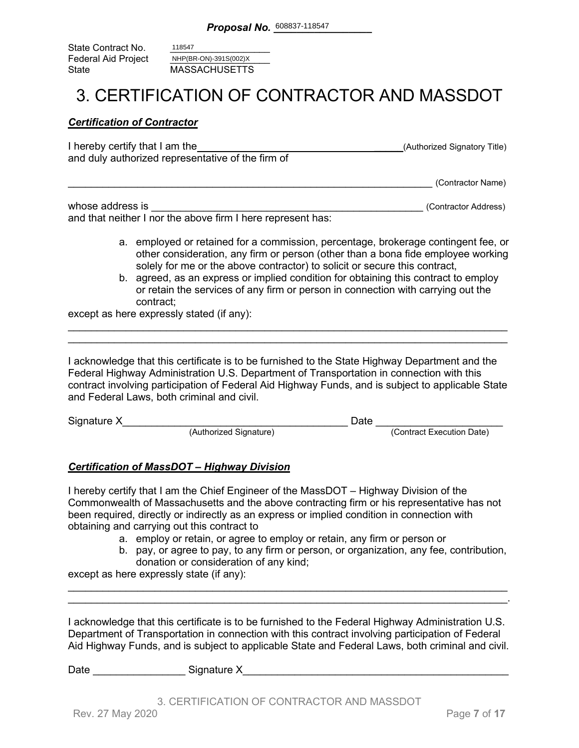State Contract No. Federal Aid Project<br>State **MASSACHUSETTS** 118547 NHP(BR-ON)-391S(002)X

### 3. CERTIFICATION OF CONTRACTOR AND MASSDOT

#### *Certification of Contractor*

| I hereby certify that I am the                    | (Authorized Signatory Title) |
|---------------------------------------------------|------------------------------|
| and duly authorized representative of the firm of |                              |
|                                                   |                              |

\_\_\_\_\_\_\_\_\_\_\_\_\_\_\_\_\_\_\_\_\_\_\_\_\_\_\_\_\_\_\_\_\_\_\_\_\_\_\_\_\_\_\_\_\_\_\_\_\_\_\_\_\_\_\_\_\_\_\_\_\_\_\_ (Contractor Name)

| whose address is                                            | (Contractor Address) |
|-------------------------------------------------------------|----------------------|
| and that neither I nor the above firm I here represent has: |                      |

- a. employed or retained for a commission, percentage, brokerage contingent fee, or other consideration, any firm or person (other than a bona fide employee working solely for me or the above contractor) to solicit or secure this contract,
- b. agreed, as an express or implied condition for obtaining this contract to employ or retain the services of any firm or person in connection with carrying out the contract;

except as here expressly stated (if any):

I acknowledge that this certificate is to be furnished to the State Highway Department and the Federal Highway Administration U.S. Department of Transportation in connection with this contract involving participation of Federal Aid Highway Funds, and is subject to applicable State and Federal Laws, both criminal and civil.

\_\_\_\_\_\_\_\_\_\_\_\_\_\_\_\_\_\_\_\_\_\_\_\_\_\_\_\_\_\_\_\_\_\_\_\_\_\_\_\_\_\_\_\_\_\_\_\_\_\_\_\_\_\_\_\_\_\_\_\_\_\_\_\_\_\_\_\_\_\_\_\_\_\_\_\_ \_\_\_\_\_\_\_\_\_\_\_\_\_\_\_\_\_\_\_\_\_\_\_\_\_\_\_\_\_\_\_\_\_\_\_\_\_\_\_\_\_\_\_\_\_\_\_\_\_\_\_\_\_\_\_\_\_\_\_\_\_\_\_\_\_\_\_\_\_\_\_\_\_\_\_\_

| Signature X |                        | Date |                           |
|-------------|------------------------|------|---------------------------|
|             | (Authorized Signature) |      | (Contract Execution Date) |

#### *Certification of MassDOT – Highway Division*

I hereby certify that I am the Chief Engineer of the MassDOT – Highway Division of the Commonwealth of Massachusetts and the above contracting firm or his representative has not been required, directly or indirectly as an express or implied condition in connection with obtaining and carrying out this contract to

- a. employ or retain, or agree to employ or retain, any firm or person or
- b. pay, or agree to pay, to any firm or person, or organization, any fee, contribution, donation or consideration of any kind;

except as here expressly state (if any):

I acknowledge that this certificate is to be furnished to the Federal Highway Administration U.S. Department of Transportation in connection with this contract involving participation of Federal Aid Highway Funds, and is subject to applicable State and Federal Laws, both criminal and civil.

\_\_\_\_\_\_\_\_\_\_\_\_\_\_\_\_\_\_\_\_\_\_\_\_\_\_\_\_\_\_\_\_\_\_\_\_\_\_\_\_\_\_\_\_\_\_\_\_\_\_\_\_\_\_\_\_\_\_\_\_\_\_\_\_\_\_\_\_\_\_\_\_\_\_\_\_ \_\_\_\_\_\_\_\_\_\_\_\_\_\_\_\_\_\_\_\_\_\_\_\_\_\_\_\_\_\_\_\_\_\_\_\_\_\_\_\_\_\_\_\_\_\_\_\_\_\_\_\_\_\_\_\_\_\_\_\_\_\_\_\_\_\_\_\_\_\_\_\_\_\_\_\_.

Date \_\_\_\_\_\_\_\_\_\_\_\_\_\_\_\_ Signature X\_\_\_\_\_\_\_\_\_\_\_\_\_\_\_\_\_\_\_\_\_\_\_\_\_\_\_\_\_\_\_\_\_\_\_\_\_\_\_\_\_\_\_\_\_\_

3. CERTIFICATION OF CONTRACTOR AND MASSDOT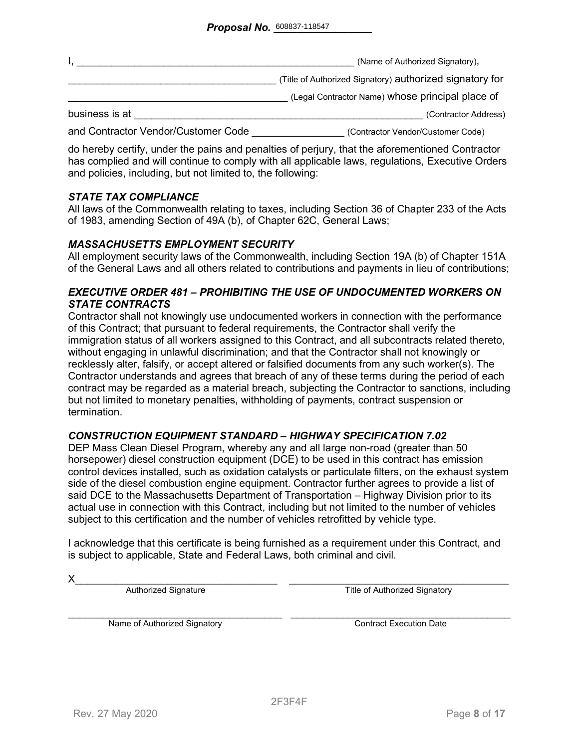|                                     | (Name of Authorized Signatory),                          |
|-------------------------------------|----------------------------------------------------------|
|                                     | (Title of Authorized Signatory) authorized signatory for |
|                                     | (Legal Contractor Name) whose principal place of         |
| business is at                      | (Contractor Address)                                     |
| and Contractor Vendor/Customer Code | (Contractor Vendor/Customer Code)                        |

do hereby certify, under the pains and penalties of perjury, that the aforementioned Contractor has complied and will continue to comply with all applicable laws, regulations, Executive Orders and policies, including, but not limited to, the following:

#### *STATE TAX COMPLIANCE*

All laws of the Commonwealth relating to taxes, including Section 36 of Chapter 233 of the Acts of 1983, amending Section of 49A (b), of Chapter 62C, General Laws;

#### *MASSACHUSETTS EMPLOYMENT SECURITY*

All employment security laws of the Commonwealth, including Section 19A (b) of Chapter 151A of the General Laws and all others related to contributions and payments in lieu of contributions;

#### *EXECUTIVE ORDER 481 – PROHIBITING THE USE OF UNDOCUMENTED WORKERS ON STATE CONTRACTS*

Contractor shall not knowingly use undocumented workers in connection with the performance of this Contract; that pursuant to federal requirements, the Contractor shall verify the immigration status of all workers assigned to this Contract, and all subcontracts related thereto, without engaging in unlawful discrimination; and that the Contractor shall not knowingly or recklessly alter, falsify, or accept altered or falsified documents from any such worker(s). The Contractor understands and agrees that breach of any of these terms during the period of each contract may be regarded as a material breach, subjecting the Contractor to sanctions, including but not limited to monetary penalties, withholding of payments, contract suspension or termination.

#### *CONSTRUCTION EQUIPMENT STANDARD – HIGHWAY SPECIFICATION 7.02*

DEP Mass Clean Diesel Program, whereby any and all large non-road (greater than 50 horsepower) diesel construction equipment (DCE) to be used in this contract has emission control devices installed, such as oxidation catalysts or particulate filters, on the exhaust system side of the diesel combustion engine equipment. Contractor further agrees to provide a list of said DCE to the Massachusetts Department of Transportation – Highway Division prior to its actual use in connection with this Contract, including but not limited to the number of vehicles subject to this certification and the number of vehicles retrofitted by vehicle type.

I acknowledge that this certificate is being furnished as a requirement under this Contract, and is subject to applicable, State and Federal Laws, both criminal and civil.

X\_\_\_\_\_\_\_\_\_\_\_\_\_\_\_\_\_\_\_\_\_\_\_\_\_\_\_\_\_\_\_\_\_\_\_ \_\_\_\_\_\_\_\_\_\_\_\_\_\_\_\_\_\_\_\_\_\_\_\_\_\_\_\_\_\_\_\_\_\_\_\_\_\_ Authorized Signature Title of Authorized Signatory

Name of Authorized Signatory **Execution Contract Execution Date**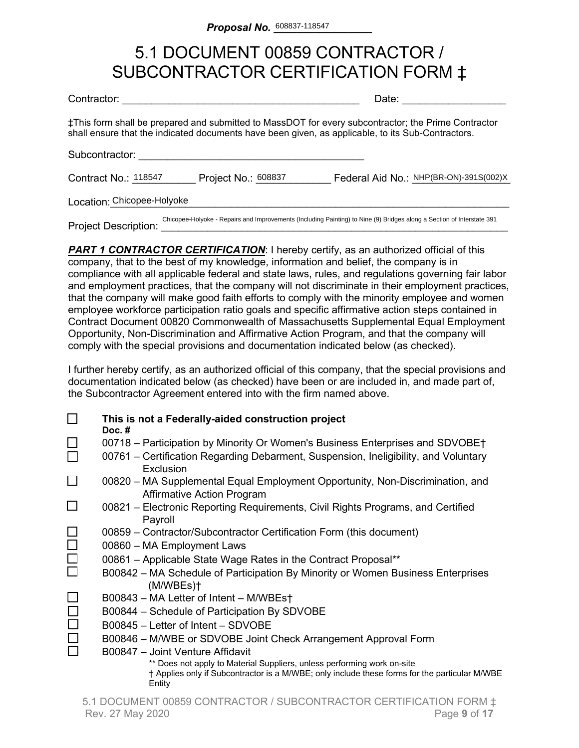### 5.1 DOCUMENT 00859 CONTRACTOR / SUBCONTRACTOR CERTIFICATION FORM ‡

| Contractor:                 |                     | Date:                                                                                                                                                                                                    |
|-----------------------------|---------------------|----------------------------------------------------------------------------------------------------------------------------------------------------------------------------------------------------------|
|                             |                     | ‡This form shall be prepared and submitted to MassDOT for every subcontractor; the Prime Contractor<br>shall ensure that the indicated documents have been given, as applicable, to its Sub-Contractors. |
| Subcontractor:              |                     |                                                                                                                                                                                                          |
| Contract No.: 118547        | Project No.: 608837 | Federal Aid No.: NHP(BR-ON)-391S(002)X                                                                                                                                                                   |
| Location: Chicopee-Holyoke  |                     |                                                                                                                                                                                                          |
| <b>Project Description:</b> |                     | Chicopee-Holyoke - Repairs and Improvements (Including Painting) to Nine (9) Bridges along a Section of Interstate 391                                                                                   |

**PART 1 CONTRACTOR CERTIFICATION:** I hereby certify, as an authorized official of this company, that to the best of my knowledge, information and belief, the company is in compliance with all applicable federal and state laws, rules, and regulations governing fair labor and employment practices, that the company will not discriminate in their employment practices, that the company will make good faith efforts to comply with the minority employee and women employee workforce participation ratio goals and specific affirmative action steps contained in Contract Document 00820 Commonwealth of Massachusetts Supplemental Equal Employment Opportunity, Non-Discrimination and Affirmative Action Program, and that the company will comply with the special provisions and documentation indicated below (as checked).

I further hereby certify, as an authorized official of this company, that the special provisions and documentation indicated below (as checked) have been or are included in, and made part of, the Subcontractor Agreement entered into with the firm named above.

|        | This is not a Federally-aided construction project<br>Doc. $#$                                                                                                                     |
|--------|------------------------------------------------------------------------------------------------------------------------------------------------------------------------------------|
|        | 00718 – Participation by Minority Or Women's Business Enterprises and SDVOBE†                                                                                                      |
|        | 00761 – Certification Regarding Debarment, Suspension, Ineligibility, and Voluntary<br>Exclusion                                                                                   |
|        | 00820 – MA Supplemental Equal Employment Opportunity, Non-Discrimination, and<br><b>Affirmative Action Program</b>                                                                 |
|        | 00821 – Electronic Reporting Requirements, Civil Rights Programs, and Certified<br>Payroll                                                                                         |
|        | 00859 – Contractor/Subcontractor Certification Form (this document)                                                                                                                |
| $\Box$ | 00860 - MA Employment Laws                                                                                                                                                         |
| $\Box$ | 00861 - Applicable State Wage Rates in the Contract Proposal**                                                                                                                     |
|        | B00842 – MA Schedule of Participation By Minority or Women Business Enterprises<br>(M/WBEs)                                                                                        |
|        | B00843 - MA Letter of Intent - M/WBEst                                                                                                                                             |
|        | B00844 - Schedule of Participation By SDVOBE                                                                                                                                       |
|        | B00845 - Letter of Intent - SDVOBE                                                                                                                                                 |
|        | B00846 - M/WBE or SDVOBE Joint Check Arrangement Approval Form                                                                                                                     |
|        | B00847 - Joint Venture Affidavit                                                                                                                                                   |
|        | ** Does not apply to Material Suppliers, unless performing work on-site<br>† Applies only if Subcontractor is a M/WBE; only include these forms for the particular M/WBE<br>Entity |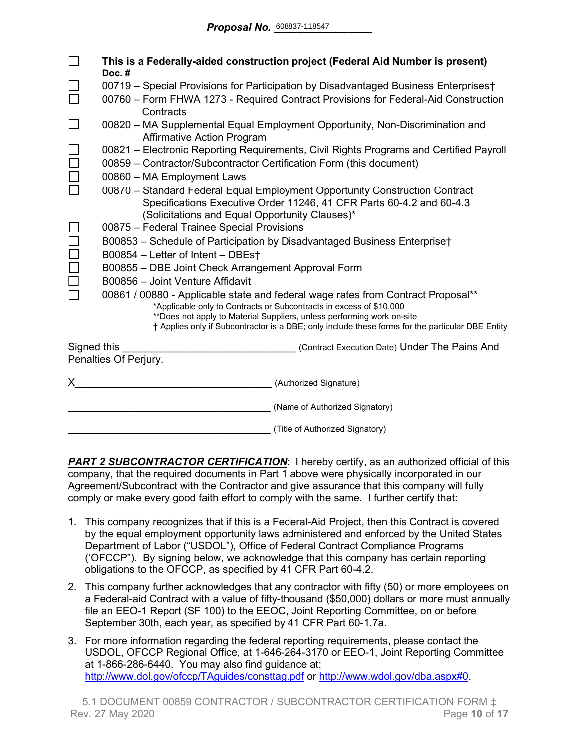|             | This is a Federally-aided construction project (Federal Aid Number is present)<br>Doc.#                           |  |  |
|-------------|-------------------------------------------------------------------------------------------------------------------|--|--|
|             | 00719 - Special Provisions for Participation by Disadvantaged Business Enterprises†                               |  |  |
|             | 00760 – Form FHWA 1273 - Required Contract Provisions for Federal-Aid Construction<br>Contracts                   |  |  |
|             | 00820 - MA Supplemental Equal Employment Opportunity, Non-Discrimination and<br><b>Affirmative Action Program</b> |  |  |
|             | 00821 – Electronic Reporting Requirements, Civil Rights Programs and Certified Payroll                            |  |  |
|             | 00859 - Contractor/Subcontractor Certification Form (this document)                                               |  |  |
|             | 00860 - MA Employment Laws                                                                                        |  |  |
|             | 00870 - Standard Federal Equal Employment Opportunity Construction Contract                                       |  |  |
|             | Specifications Executive Order 11246, 41 CFR Parts 60-4.2 and 60-4.3                                              |  |  |
|             | (Solicitations and Equal Opportunity Clauses)*                                                                    |  |  |
|             | 00875 - Federal Trainee Special Provisions                                                                        |  |  |
|             | B00853 - Schedule of Participation by Disadvantaged Business Enterprise†<br>B00854 - Letter of Intent - DBEst     |  |  |
|             | B00855 - DBE Joint Check Arrangement Approval Form                                                                |  |  |
|             | B00856 - Joint Venture Affidavit                                                                                  |  |  |
|             | 00861 / 00880 - Applicable state and federal wage rates from Contract Proposal**                                  |  |  |
|             | *Applicable only to Contracts or Subcontracts in excess of \$10,000                                               |  |  |
|             | **Does not apply to Material Suppliers, unless performing work on-site                                            |  |  |
|             | † Applies only if Subcontractor is a DBE; only include these forms for the particular DBE Entity                  |  |  |
| Signed this | (Contract Execution Date) Under The Pains And                                                                     |  |  |
|             | Penalties Of Perjury.                                                                                             |  |  |
| X           | (Authorized Signature)                                                                                            |  |  |
|             | (Name of Authorized Signatory)                                                                                    |  |  |
|             | (Title of Authorized Signatory)                                                                                   |  |  |

**PART 2 SUBCONTRACTOR CERTIFICATION:** I hereby certify, as an authorized official of this company, that the required documents in Part 1 above were physically incorporated in our Agreement/Subcontract with the Contractor and give assurance that this company will fully comply or make every good faith effort to comply with the same. I further certify that:

- 1. This company recognizes that if this is a Federal-Aid Project, then this Contract is covered by the equal employment opportunity laws administered and enforced by the United States Department of Labor ("USDOL"), Office of Federal Contract Compliance Programs ('OFCCP"). By signing below, we acknowledge that this company has certain reporting obligations to the OFCCP, as specified by 41 CFR Part 60-4.2.
- 2. This company further acknowledges that any contractor with fifty (50) or more employees on a Federal-aid Contract with a value of fifty-thousand (\$50,000) dollars or more must annually file an EEO-1 Report (SF 100) to the EEOC, Joint Reporting Committee, on or before September 30th, each year, as specified by 41 CFR Part 60-1.7a.
- 3. For more information regarding the federal reporting requirements, please contact the USDOL, OFCCP Regional Office, at 1-646-264-3170 or EEO-1, Joint Reporting Committee at 1-866-286-6440. You may also find guidance at: <http://www.dol.gov/ofccp/TAguides/consttag.pdf> or [http://www.wdol.gov/dba.aspx#0.](http://www.wdol.gov/dba.aspx#0)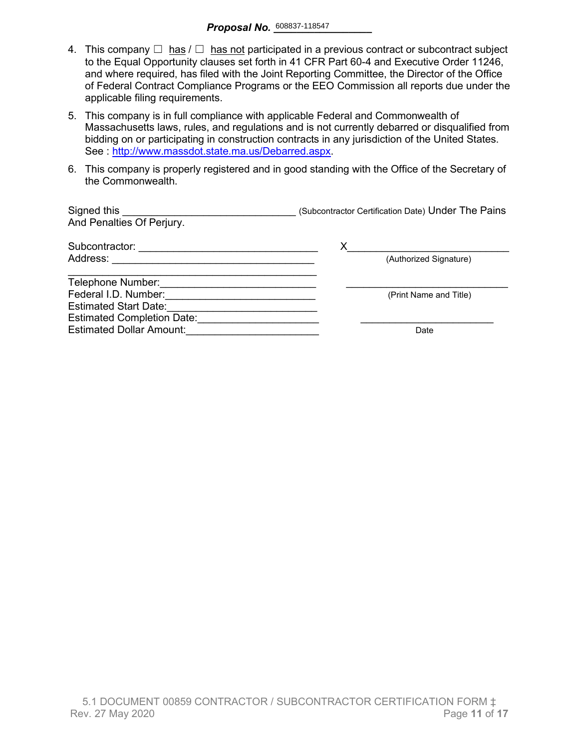- 4. This company  $\Box$  has  $\Box$  has not participated in a previous contract or subcontract subject to the Equal Opportunity clauses set forth in 41 CFR Part 60-4 and Executive Order 11246, and where required, has filed with the Joint Reporting Committee, the Director of the Office of Federal Contract Compliance Programs or the EEO Commission all reports due under the applicable filing requirements.
- 5. This company is in full compliance with applicable Federal and Commonwealth of Massachusetts laws, rules, and regulations and is not currently debarred or disqualified from bidding on or participating in construction contracts in any jurisdiction of the United States. See : http://www.massdot.state.ma.us/Debarred.aspx.
- 6. This company is properly registered and in good standing with the Office of the Secretary of the Commonwealth.

| Signed this<br>And Penalties Of Perjury. | (Subcontractor Certification Date) Under The Pains |
|------------------------------------------|----------------------------------------------------|
| Subcontractor:                           | Х                                                  |
| Address:                                 | (Authorized Signature)                             |
| Telephone Number:                        |                                                    |
| Federal I.D. Number:                     | (Print Name and Title)                             |
| <b>Estimated Start Date:</b>             |                                                    |
| <b>Estimated Completion Date:</b>        |                                                    |
| <b>Estimated Dollar Amount:</b>          | Date                                               |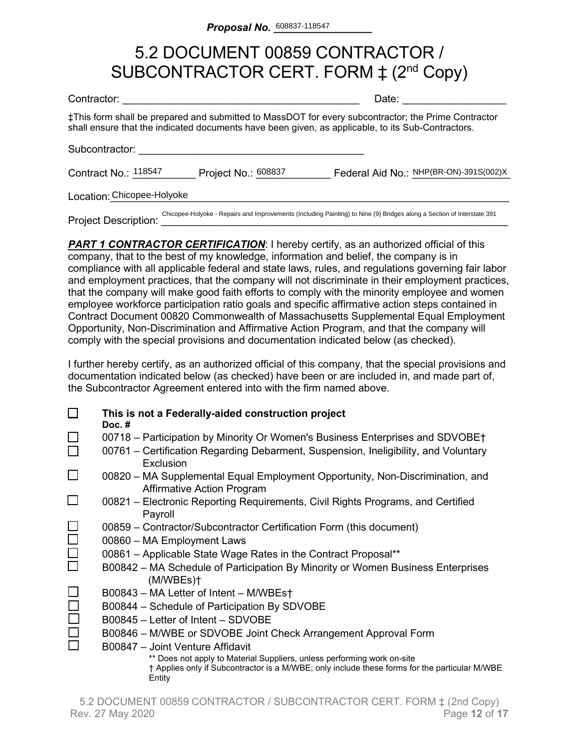## 5.2 DOCUMENT 00859 CONTRACTOR / SUBCONTRACTOR CERT. FORM  $\ddagger$  (2<sup>nd</sup> Copy)

| Contractor:                     |                     | Date:                                                                                                                                                                                                    |
|---------------------------------|---------------------|----------------------------------------------------------------------------------------------------------------------------------------------------------------------------------------------------------|
|                                 |                     | ‡This form shall be prepared and submitted to MassDOT for every subcontractor; the Prime Contractor<br>shall ensure that the indicated documents have been given, as applicable, to its Sub-Contractors. |
| Subcontractor:                  |                     |                                                                                                                                                                                                          |
| Contract No.: <sup>118547</sup> | Project No.: 608837 | Federal Aid No.: NHP(BR-ON)-391S(002)X                                                                                                                                                                   |
| Location: Chicopee-Holyoke      |                     |                                                                                                                                                                                                          |
| Project Description:            |                     | Chicopee-Holyoke - Repairs and Improvements (Including Painting) to Nine (9) Bridges along a Section of Interstate 391                                                                                   |

**PART 1 CONTRACTOR CERTIFICATION:** I hereby certify, as an authorized official of this company, that to the best of my knowledge, information and belief, the company is in compliance with all applicable federal and state laws, rules, and regulations governing fair labor and employment practices, that the company will not discriminate in their employment practices, that the company will make good faith efforts to comply with the minority employee and women employee workforce participation ratio goals and specific affirmative action steps contained in Contract Document 00820 Commonwealth of Massachusetts Supplemental Equal Employment Opportunity, Non-Discrimination and Affirmative Action Program, and that the company will comply with the special provisions and documentation indicated below (as checked).

I further hereby certify, as an authorized official of this company, that the special provisions and documentation indicated below (as checked) have been or are included in, and made part of, the Subcontractor Agreement entered into with the firm named above.

|        | This is not a Federally-aided construction project<br>Doc. $#$                                                                                                                     |
|--------|------------------------------------------------------------------------------------------------------------------------------------------------------------------------------------|
|        | 00718 – Participation by Minority Or Women's Business Enterprises and SDVOBE†<br>00761 – Certification Regarding Debarment, Suspension, Ineligibility, and Voluntary               |
|        | Exclusion                                                                                                                                                                          |
| $\Box$ | 00820 – MA Supplemental Equal Employment Opportunity, Non-Discrimination, and<br><b>Affirmative Action Program</b>                                                                 |
|        | 00821 – Electronic Reporting Requirements, Civil Rights Programs, and Certified<br>Payroll                                                                                         |
|        | 00859 - Contractor/Subcontractor Certification Form (this document)                                                                                                                |
|        | 00860 - MA Employment Laws                                                                                                                                                         |
| $\Box$ | 00861 - Applicable State Wage Rates in the Contract Proposal**                                                                                                                     |
|        | B00842 – MA Schedule of Participation By Minority or Women Business Enterprises<br>(M/WBEs)t                                                                                       |
|        | B00843 - MA Letter of Intent - M/WBEst                                                                                                                                             |
|        | B00844 - Schedule of Participation By SDVOBE                                                                                                                                       |
|        | B00845 – Letter of Intent – SDVOBE                                                                                                                                                 |
|        | B00846 - M/WBE or SDVOBE Joint Check Arrangement Approval Form                                                                                                                     |
|        | B00847 - Joint Venture Affidavit                                                                                                                                                   |
|        | ** Does not apply to Material Suppliers, unless performing work on-site<br>† Applies only if Subcontractor is a M/WBE; only include these forms for the particular M/WBE<br>Entity |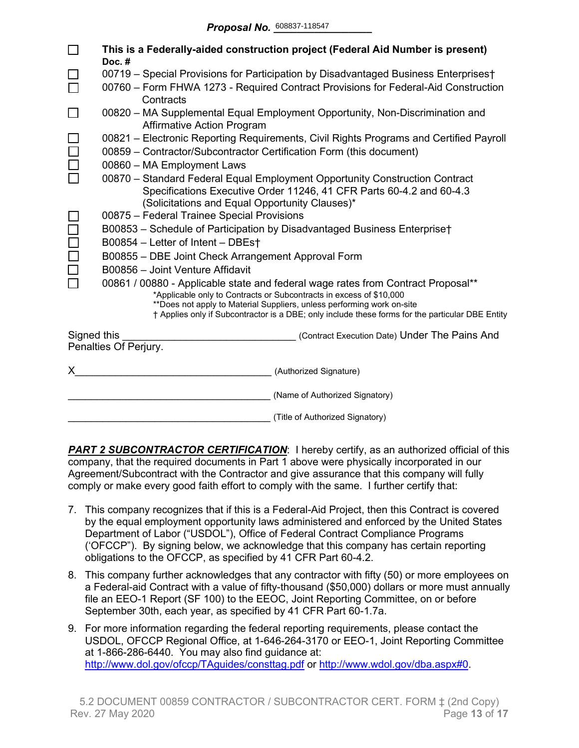|                                                              | This is a Federally-aided construction project (Federal Aid Number is present)<br>Doc.#                                                       |  |  |  |  |  |  |  |  |
|--------------------------------------------------------------|-----------------------------------------------------------------------------------------------------------------------------------------------|--|--|--|--|--|--|--|--|
|                                                              | 00719 - Special Provisions for Participation by Disadvantaged Business Enterprises†                                                           |  |  |  |  |  |  |  |  |
|                                                              | 00760 - Form FHWA 1273 - Required Contract Provisions for Federal-Aid Construction<br>Contracts                                               |  |  |  |  |  |  |  |  |
|                                                              | 00820 – MA Supplemental Equal Employment Opportunity, Non-Discrimination and<br><b>Affirmative Action Program</b>                             |  |  |  |  |  |  |  |  |
|                                                              | 00821 – Electronic Reporting Requirements, Civil Rights Programs and Certified Payroll                                                        |  |  |  |  |  |  |  |  |
|                                                              | 00859 - Contractor/Subcontractor Certification Form (this document)                                                                           |  |  |  |  |  |  |  |  |
|                                                              | 00860 - MA Employment Laws                                                                                                                    |  |  |  |  |  |  |  |  |
|                                                              | 00870 - Standard Federal Equal Employment Opportunity Construction Contract                                                                   |  |  |  |  |  |  |  |  |
|                                                              | Specifications Executive Order 11246, 41 CFR Parts 60-4.2 and 60-4.3                                                                          |  |  |  |  |  |  |  |  |
|                                                              | (Solicitations and Equal Opportunity Clauses)*                                                                                                |  |  |  |  |  |  |  |  |
|                                                              | 00875 - Federal Trainee Special Provisions                                                                                                    |  |  |  |  |  |  |  |  |
|                                                              | B00853 - Schedule of Participation by Disadvantaged Business Enterprise†                                                                      |  |  |  |  |  |  |  |  |
|                                                              | B00854 - Letter of Intent - DBEst                                                                                                             |  |  |  |  |  |  |  |  |
|                                                              | B00855 - DBE Joint Check Arrangement Approval Form                                                                                            |  |  |  |  |  |  |  |  |
|                                                              | B00856 - Joint Venture Affidavit                                                                                                              |  |  |  |  |  |  |  |  |
|                                                              | 00861 / 00880 - Applicable state and federal wage rates from Contract Proposal**                                                              |  |  |  |  |  |  |  |  |
|                                                              | *Applicable only to Contracts or Subcontracts in excess of \$10,000<br>**Does not apply to Material Suppliers, unless performing work on-site |  |  |  |  |  |  |  |  |
|                                                              | † Applies only if Subcontractor is a DBE; only include these forms for the particular DBE Entity                                              |  |  |  |  |  |  |  |  |
| Signed this<br>(Contract Execution Date) Under The Pains And |                                                                                                                                               |  |  |  |  |  |  |  |  |
|                                                              | Penalties Of Perjury.                                                                                                                         |  |  |  |  |  |  |  |  |
|                                                              | (Authorized Signature)                                                                                                                        |  |  |  |  |  |  |  |  |
|                                                              | (Name of Authorized Signatory)                                                                                                                |  |  |  |  |  |  |  |  |
|                                                              | (Title of Authorized Signatory)                                                                                                               |  |  |  |  |  |  |  |  |

**PART 2 SUBCONTRACTOR CERTIFICATION:** I hereby certify, as an authorized official of this company, that the required documents in Part 1 above were physically incorporated in our Agreement/Subcontract with the Contractor and give assurance that this company will fully comply or make every good faith effort to comply with the same. I further certify that:

- 7. This company recognizes that if this is a Federal-Aid Project, then this Contract is covered by the equal employment opportunity laws administered and enforced by the United States Department of Labor ("USDOL"), Office of Federal Contract Compliance Programs ('OFCCP"). By signing below, we acknowledge that this company has certain reporting obligations to the OFCCP, as specified by 41 CFR Part 60-4.2.
- 8. This company further acknowledges that any contractor with fifty (50) or more employees on a Federal-aid Contract with a value of fifty-thousand (\$50,000) dollars or more must annually file an EEO-1 Report (SF 100) to the EEOC, Joint Reporting Committee, on or before September 30th, each year, as specified by 41 CFR Part 60-1.7a.
- 9. For more information regarding the federal reporting requirements, please contact the USDOL, OFCCP Regional Office, at 1-646-264-3170 or EEO-1, Joint Reporting Committee at 1-866-286-6440. You may also find guidance at: <http://www.dol.gov/ofccp/TAguides/consttag.pdf> or [http://www.wdol.gov/dba.aspx#0.](http://www.wdol.gov/dba.aspx#0)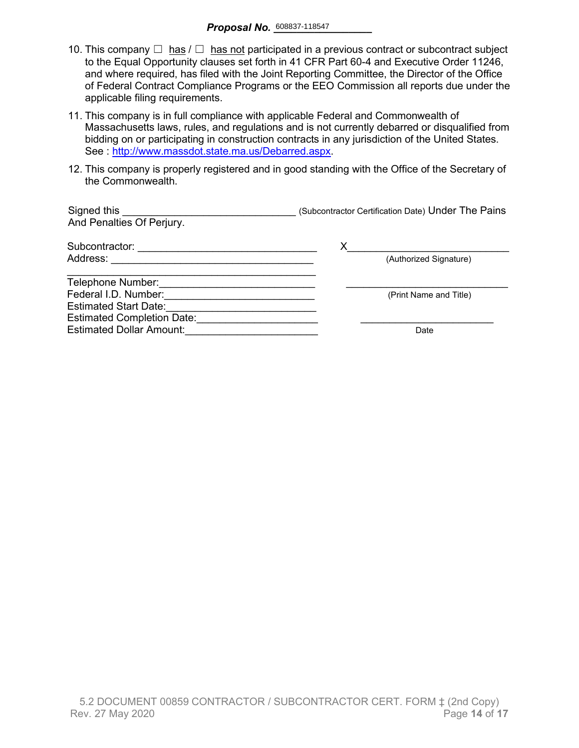- 10. This company  $\Box$  has  $\Box$  has not participated in a previous contract or subcontract subject to the Equal Opportunity clauses set forth in 41 CFR Part 60-4 and Executive Order 11246, and where required, has filed with the Joint Reporting Committee, the Director of the Office of Federal Contract Compliance Programs or the EEO Commission all reports due under the applicable filing requirements.
- 11. This company is in full compliance with applicable Federal and Commonwealth of Massachusetts laws, rules, and regulations and is not currently debarred or disqualified from bidding on or participating in construction contracts in any jurisdiction of the United States. See : [http://www.massdot.state.ma.us/Debarred.aspx.](http://www.massdot.state.ma.us/Debarred.aspx)
- 12. This company is properly registered and in good standing with the Office of the Secretary of the Commonwealth.

| Signed this<br>And Penalties Of Perjury. | (Subcontractor Certification Date) Under The Pains |
|------------------------------------------|----------------------------------------------------|
| Subcontractor:                           | х                                                  |
| Address:                                 | (Authorized Signature)                             |
| Telephone Number:                        |                                                    |
| Federal I.D. Number:                     | (Print Name and Title)                             |
| <b>Estimated Start Date:</b>             |                                                    |
| <b>Estimated Completion Date:</b>        |                                                    |
| <b>Estimated Dollar Amount:</b>          | Date                                               |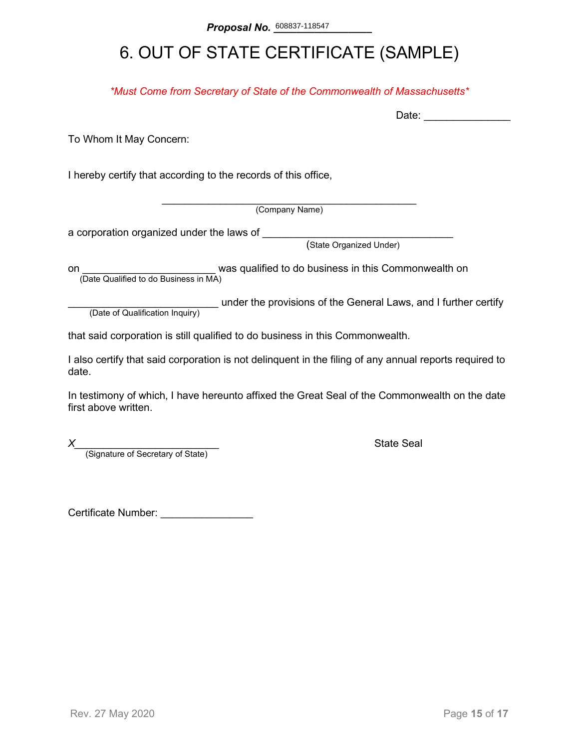# 6. OUT OF STATE CERTIFICATE (SAMPLE)

*\*Must Come from Secretary of State of the Commonwealth of Massachusetts\**

To Whom It May Concern:

I hereby certify that according to the records of this office,

\_\_\_\_\_\_\_\_\_\_\_\_\_\_\_\_\_\_\_\_\_\_\_\_\_\_\_\_\_\_\_\_\_\_\_\_\_\_\_\_\_\_\_\_ (Company Name)

a corporation organized under the laws of \_\_\_\_\_\_\_\_

(State Organized Under)

on **on Example 2** was qualified to do business in this Commonwealth on (Date Qualified to do Business in MA)

(Date of Qualification Inquiry) under the provisions of the General Laws, and I further certify (Date of Qualification Inquiry)

that said corporation is still qualified to do business in this Commonwealth.

I also certify that said corporation is not delinquent in the filing of any annual reports required to date.

In testimony of which, I have hereunto affixed the Great Seal of the Commonwealth on the date first above written.

*X*<br>(Signature of Secretary of State) **Alternative State Seal State Seal Alternative State** 

Certificate Number: \_\_\_\_\_\_\_\_\_\_\_\_\_\_\_\_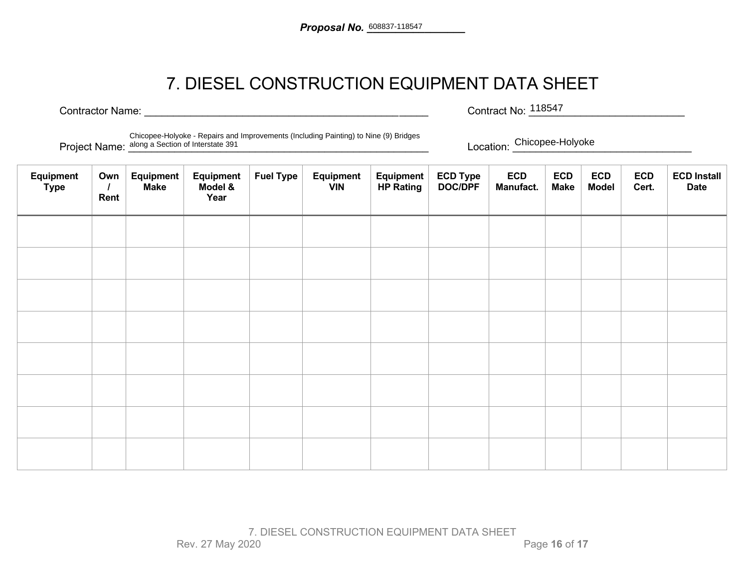## 7. DIESEL CONSTRUCTION EQUIPMENT DATA SHEET

Contractor Name: \_\_\_\_\_\_\_\_\_\_\_\_\_\_\_\_\_\_\_\_\_\_\_\_\_\_\_\_\_\_\_\_\_\_\_\_\_\_\_\_\_\_\_\_\_\_\_\_\_ Contract No: \_\_\_\_\_\_\_\_\_\_\_\_\_\_\_\_\_\_\_\_\_\_\_\_\_\_\_

Contract No: 118547

Project Name: <u>along a Section of Interstate 391</u> entitled and the section of Interstate 391 entitled and the section of Interstate 391 entitled and the section of Interstate 391 entitled and the section of Interstate 391 Chicopee-Holyoke - Repairs and Improvements (Including Painting) to Nine (9) Bridges

Location: Chicopee-Holyoke

| Equipment<br><b>Type</b> | Own<br>Rent | Equipment<br><b>Make</b> | Equipment<br>Model &<br>Year | <b>Fuel Type</b> | <b>Equipment</b><br><b>VIN</b> | Equipment<br><b>HP Rating</b> | ECD Type<br>DOC/DPF | <b>ECD</b><br>Manufact. | <b>ECD</b><br><b>Make</b> | <b>ECD</b><br><b>Model</b> | <b>ECD</b><br>Cert. | <b>ECD Install</b><br><b>Date</b> |
|--------------------------|-------------|--------------------------|------------------------------|------------------|--------------------------------|-------------------------------|---------------------|-------------------------|---------------------------|----------------------------|---------------------|-----------------------------------|
|                          |             |                          |                              |                  |                                |                               |                     |                         |                           |                            |                     |                                   |
|                          |             |                          |                              |                  |                                |                               |                     |                         |                           |                            |                     |                                   |
|                          |             |                          |                              |                  |                                |                               |                     |                         |                           |                            |                     |                                   |
|                          |             |                          |                              |                  |                                |                               |                     |                         |                           |                            |                     |                                   |
|                          |             |                          |                              |                  |                                |                               |                     |                         |                           |                            |                     |                                   |
|                          |             |                          |                              |                  |                                |                               |                     |                         |                           |                            |                     |                                   |
|                          |             |                          |                              |                  |                                |                               |                     |                         |                           |                            |                     |                                   |
|                          |             |                          |                              |                  |                                |                               |                     |                         |                           |                            |                     |                                   |